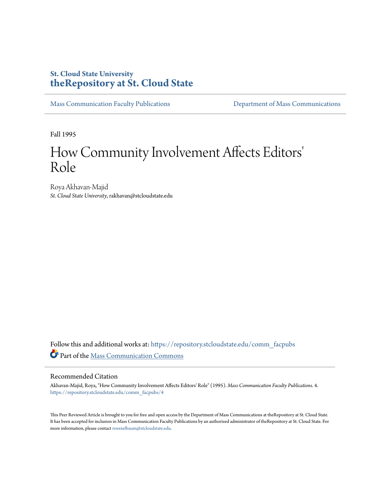# **St. Cloud State University [theRepository at St. Cloud State](https://repository.stcloudstate.edu?utm_source=repository.stcloudstate.edu%2Fcomm_facpubs%2F4&utm_medium=PDF&utm_campaign=PDFCoverPages)**

[Mass Communication Faculty Publications](https://repository.stcloudstate.edu/comm_facpubs?utm_source=repository.stcloudstate.edu%2Fcomm_facpubs%2F4&utm_medium=PDF&utm_campaign=PDFCoverPages) [Department of Mass Communications](https://repository.stcloudstate.edu/comm?utm_source=repository.stcloudstate.edu%2Fcomm_facpubs%2F4&utm_medium=PDF&utm_campaign=PDFCoverPages)

Fall 1995

# How Community Involvement Affects Editors 'Role

Roya Akhavan-Majid *St. Cloud State University*, rakhavan@stcloudstate.edu

Follow this and additional works at: [https://repository.stcloudstate.edu/comm\\_facpubs](https://repository.stcloudstate.edu/comm_facpubs?utm_source=repository.stcloudstate.edu%2Fcomm_facpubs%2F4&utm_medium=PDF&utm_campaign=PDFCoverPages) Part of the [Mass Communication Commons](http://network.bepress.com/hgg/discipline/334?utm_source=repository.stcloudstate.edu%2Fcomm_facpubs%2F4&utm_medium=PDF&utm_campaign=PDFCoverPages)

#### Recommended Citation

Akhavan-Majid, Roya, "How Community Involvement Affects Editors' Role" (1995). *Mass Communication Faculty Publications*. 4. [https://repository.stcloudstate.edu/comm\\_facpubs/4](https://repository.stcloudstate.edu/comm_facpubs/4?utm_source=repository.stcloudstate.edu%2Fcomm_facpubs%2F4&utm_medium=PDF&utm_campaign=PDFCoverPages)

This Peer Reviewed Article is brought to you for free and open access by the Department of Mass Communications at theRepository at St. Cloud State. It has been accepted for inclusion in Mass Communication Faculty Publications by an authorized administrator of theRepository at St. Cloud State. For more information, please contact [rswexelbaum@stcloudstate.edu](mailto:rswexelbaum@stcloudstate.edu).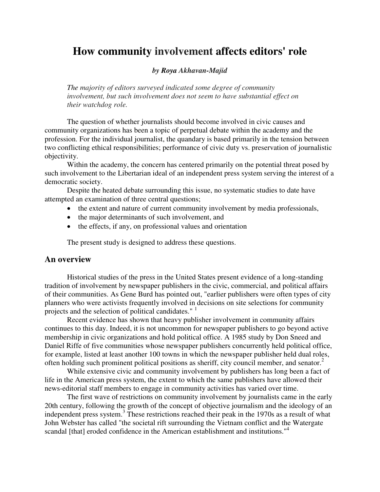# **How community involvement affects editors' role**

#### *by Roya Akhavan-Majid*

*The majority of editors surveyed indicated some degree of community involvement, but such involvement does not seem to have substantial effect on their watchdog role.* 

The question of whether journalists should become involved in civic causes and community organizations has been a topic of perpetual debate within the academy and the profession. For the individual journalist, the quandary is based primarily in the tension between two conflicting ethical responsibilities; performance of civic duty vs. preservation of journalistic objectivity.

Within the academy, the concern has centered primarily on the potential threat posed by such involvement to the Libertarian ideal of an independent press system serving the interest of a democratic society.

Despite the heated debate surrounding this issue, no systematic studies to date have attempted an examination of three central questions;

- the extent and nature of current community involvement by media professionals,
- the major determinants of such involvement, and
- the effects, if any, on professional values and orientation

The present study is designed to address these questions.

#### **An overview**

Historical studies of the press in the United States present evidence of a long-standing tradition of involvement by newspaper publishers in the civic, commercial, and political affairs of their communities. As Gene Burd has pointed out, "earlier publishers were often types of city planners who were activists frequently involved in decisions on site selections for community projects and the selection of political candidates."<sup>1</sup>

Recent evidence has shown that heavy publisher involvement in community affairs continues to this day. Indeed, it is not uncommon for newspaper publishers to go beyond active membership in civic organizations and hold political office. A 1985 study by Don Sneed and Daniel Riffe of five communities whose newspaper publishers concurrently held political office, for example, listed at least another 100 towns in which the newspaper publisher held dual roles, often holding such prominent political positions as sheriff, city council member, and senator.<sup>2</sup>

While extensive civic and community involvement by publishers has long been a fact of life in the American press system, the extent to which the same publishers have allowed their news-editorial staff members to engage in community activities has varied over time.

The first wave of restrictions on community involvement by journalists came in the early 20th century, following the growth of the concept of objective journalism and the ideology of an independent press system.<sup>3</sup> These restrictions reached their peak in the 1970s as a result of what John Webster has called "the societal rift surrounding the Vietnam conflict and the Watergate scandal [that] eroded confidence in the American establishment and institutions."<sup>4</sup>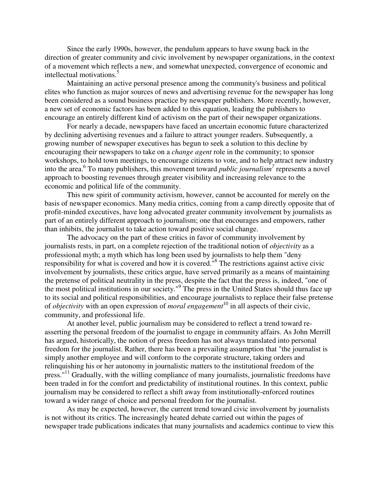Since the early 1990s, however, the pendulum appears to have swung back in the direction of greater community and civic involvement by newspaper organizations, in the context of a movement which reflects a new, and somewhat unexpected, convergence of economic and intellectual motivations.<sup>5</sup>

Maintaining an active personal presence among the community's business and political elites who function as major sources of news and advertising revenue for the newspaper has long been considered as a sound business practice by newspaper publishers. More recently, however, a new set of economic factors has been added to this equation, leading the publishers to encourage an entirely different kind of activism on the part of their newspaper organizations.

For nearly a decade, newspapers have faced an uncertain economic future characterized by declining advertising revenues and a failure to attract younger readers. Subsequently, a growing number of newspaper executives has begun to seek a solution to this decline by encouraging their newspapers to take on a *change agent* role in the community; to sponsor workshops, to hold town meetings, to encourage citizens to vote, and to help attract new industry into the area.<sup>6</sup> To many publishers, this movement toward *public journalism*<sup>7</sup> represents a novel approach to boosting revenues through greater visibility and increasing relevance to the economic and political life of the community.

This new spirit of community activism, however, cannot be accounted for merely on the basis of newspaper economics. Many media critics, coming from a camp directly opposite that of profit-minded executives, have long advocated greater community involvement by journalists as part of an entirely different approach to journalism; one that encourages and empowers, rather than inhibits, the journalist to take action toward positive social change.

The advocacy on the part of these critics in favor of community involvement by journalists rests, in part, on a complete rejection of the traditional notion of *objectivity* as a professional myth; a myth which has long been used by journalists to help them "deny responsibility for what is covered and how it is covered."<sup>8</sup> The restrictions against active civic involvement by journalists, these critics argue, have served primarily as a means of maintaining the pretense of political neutrality in the press, despite the fact that the press is, indeed, "one of the most political institutions in our society."<sup>9</sup> The press in the United States should thus face up to its social and political responsibilities, and encourage journalists to replace their false pretense of *objectivity* with an open expression of *moral engagement*<sup>10</sup> in all aspects of their civic, community, and professional life.

At another level, public journalism may be considered to reflect a trend toward reasserting the personal freedom of the journalist to engage in community affairs. As John Merrill has argued, historically, the notion of press freedom has not always translated into personal freedom for the journalist. Rather, there has been a prevailing assumption that "the journalist is simply another employee and will conform to the corporate structure, taking orders and relinquishing his or her autonomy in journalistic matters to the institutional freedom of the press."<sup>11</sup> Gradually, with the willing compliance of many journalists, journalistic freedoms have been traded in for the comfort and predictability of institutional routines. In this context, public journalism may be considered to reflect a shift away from institutionally-enforced routines toward a wider range of choice and personal freedom for the journalist.

As may be expected, however, the current trend toward civic involvement by journalists is not without its critics. The increasingly heated debate carried out within the pages of newspaper trade publications indicates that many journalists and academics continue to view this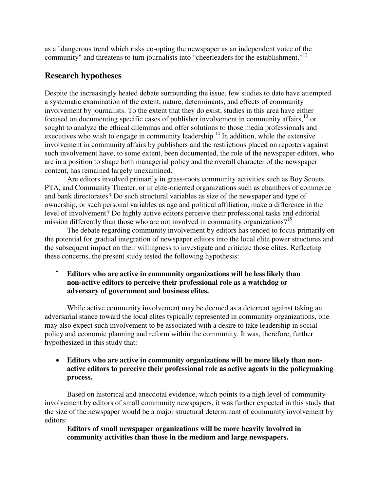as a "dangerous trend which risks co-opting the newspaper as an independent voice of the community" and threatens to turn journalists into "cheerleaders for the establishment."<sup>12</sup>

# **Research hypotheses**

Despite the increasingly heated debate surrounding the issue, few studies to date have attempted a systematic examination of the extent, nature, determinants, and effects of community involvement by journalists. To the extent that they do exist, studies in this area have either focused on documenting specific cases of publisher involvement in community affairs,  $^{13}$  or sought to analyze the ethical dilemmas and offer solutions to those media professionals and executives who wish to engage in community leadership.<sup>14</sup> In addition, while the extensive involvement in community affairs by publishers and the restrictions placed on reporters against such involvement have, to some extent, been documented, the role of the newspaper editors, who are in a position to shape both managerial policy and the overall character of the newspaper content, has remained largely unexamined.

Are editors involved primarily in grass-roots community activities such as Boy Scouts, PTA, and Community Theater, or in elite-oriented organizations such as chambers of commerce and bank directorates? Do such structural variables as size of the newspaper and type of ownership, or such personal variables as age and political affiliation, make a difference in the level of involvement? Do highly active editors perceive their professional tasks and editorial mission differently than those who are not involved in community organizations?<sup>15</sup>

The debate regarding community involvement by editors has tended to focus primarily on the potential for gradual integration of newspaper editors into the local elite power structures and the subsequent impact on their willingness to investigate and criticize those elites. Reflecting these concerns, the present study tested the following hypothesis:

#### • **Editors who are active in community organizations will be less likely than non-active editors to perceive their professional role as a watchdog or adversary of government and business elites.**

While active community involvement may be deemed as a deterrent against taking an adversarial stance toward the local elites typically represented in community organizations, one may also expect such involvement to be associated with a desire to take leadership in social policy and economic planning and reform within the community. It was, therefore, further hypothesized in this study that:

#### • **Editors who are active in community organizations will be more likely than nonactive editors to perceive their professional role as active agents in the policymaking process.**

Based on historical and anecdotal evidence, which points to a high level of community involvement by editors of small community newspapers, it was further expected in this study that the size of the newspaper would be a major structural determinant of community involvement by editors:

#### • **Editors of small newspaper organizations will be more heavily involved in community activities than those in the medium and large newspapers.**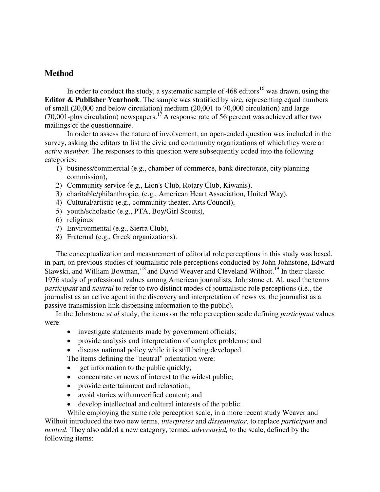## **Method**

In order to conduct the study, a systematic sample of  $468$  editors<sup>16</sup> was drawn, using the **Editor & Publisher Yearbook**. The sample was stratified by size, representing equal numbers of small (20,000 and below circulation) medium (20,001 to 70,000 circulation) and large (70,001-plus circulation) newspapers.<sup>17</sup> A response rate of 56 percent was achieved after two mailings of the questionnaire.

In order to assess the nature of involvement, an open-ended question was included in the survey, asking the editors to list the civic and community organizations of which they were an *active member.* The responses to this question were subsequently coded into the following categories:

- 1) business/commercial (e.g., chamber of commerce, bank directorate, city planning commission),
- 2) Community service (e.g., Lion's Club, Rotary Club, Kiwanis),
- 3) charitable/philanthropic, (e.g., American Heart Association, United Way),
- 4) Cultural/artistic (e.g., community theater. Arts Council),
- 5) youth/scholastic (e.g., PTA, Boy/Girl Scouts),
- 6) religious
- 7) Environmental (e.g., Sierra Club),
- 8) Fraternal (e.g., Greek organizations).

The conceptualization and measurement of editorial role perceptions in this study was based, in part, on previous studies of journalistic role perceptions conducted by John Johnstone, Edward Slawski, and William Bowman,<sup>18</sup> and David Weaver and Cleveland Wilhoit.<sup>19</sup> In their classic 1976 study of professional values among American journalists, Johnstone et. Al. used the terms *participant* and *neutral* to refer to two distinct modes of journalistic role perceptions (i.e., the journalist as an active agent in the discovery and interpretation of news vs. the journalist as a passive transmission link dispensing information to the public).

In the Johnstone *et al* study, the items on the role perception scale defining *participant* values were:

- investigate statements made by government officials;
- provide analysis and interpretation of complex problems; and
- discuss national policy while it is still being developed.

The items defining the "neutral" orientation were:

- get information to the public quickly;
- concentrate on news of interest to the widest public;
- provide entertainment and relaxation;
- avoid stories with unverified content; and
- develop intellectual and cultural interests of the public.

While employing the same role perception scale, in a more recent study Weaver and Wilhoit introduced the two new terms, *interpreter* and *disseminator,* to replace *participant* and *neutral.* They also added a new category, termed *adversarial,* to the scale, defined by the following items: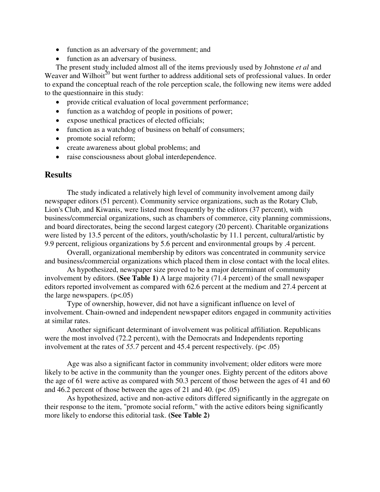- function as an adversary of the government; and
- function as an adversary of business.

The present study included almost all of the items previously used by Johnstone *et al* and Weaver and Wilhoit<sup>20</sup> but went further to address additional sets of professional values. In order to expand the conceptual reach of the role perception scale, the following new items were added to the questionnaire in this study:

- provide critical evaluation of local government performance;
- function as a watchdog of people in positions of power;
- expose unethical practices of elected officials;
- function as a watchdog of business on behalf of consumers;
- promote social reform;
- create awareness about global problems; and
- raise consciousness about global interdependence.

#### **Results**

The study indicated a relatively high level of community involvement among daily newspaper editors (51 percent). Community service organizations, such as the Rotary Club, Lion's Club, and Kiwanis, were listed most frequently by the editors (37 percent), with business/commercial organizations, such as chambers of commerce, city planning commissions, and board directorates, being the second largest category (20 percent). Charitable organizations were listed by 13.5 percent of the editors, youth/scholastic by 11.1 percent, cultural/artistic by 9.9 percent, religious organizations by 5.6 percent and environmental groups by .4 percent.

Overall, organizational membership by editors was concentrated in community service and business/commercial organizations which placed them in close contact with the local elites.

As hypothesized, newspaper size proved to be a major determinant of community involvement by editors. **(See Table 1)** A large majority (71.4 percent) of the small newspaper editors reported involvement as compared with 62.6 percent at the medium and 27.4 percent at the large newspapers.  $(p<.05)$ 

Type of ownership, however, did not have a significant influence on level of involvement. Chain-owned and independent newspaper editors engaged in community activities at similar rates.

Another significant determinant of involvement was political affiliation. Republicans were the most involved (72.2 percent), with the Democrats and Independents reporting involvement at the rates of *55.7* percent and 45.4 percent respectively. (p< .05)

Age was also a significant factor in community involvement; older editors were more likely to be active in the community than the younger ones. Eighty percent of the editors above the age of 61 were active as compared with 50.3 percent of those between the ages of 41 and 60 and 46.2 percent of those between the ages of 21 and 40. ( $p < .05$ )

As hypothesized, active and non-active editors differed significantly in the aggregate on their response to the item, "promote social reform," with the active editors being significantly more likely to endorse this editorial task. **(See Table 2)**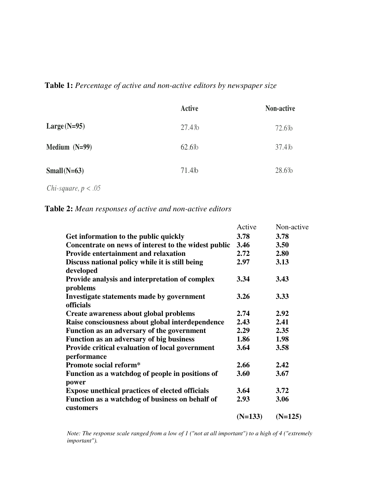## **Table 1:** *Percentage of active and non-active editors by newspaper size*

|                 | <b>Active</b> | Non-active |
|-----------------|---------------|------------|
| $Large(N=95)$   | 27.4%         | 72.6%      |
| Medium $(N=99)$ | 62.6%         | 37.4%      |
| Small( $N=63$ ) | 71.4%         | 28.6%      |

*Chi-square, p* < *.05* 

**Table 2:** *Mean responses of active and non-active editors* 

|                                                        | Active    | Non-active |
|--------------------------------------------------------|-----------|------------|
| Get information to the public quickly                  | 3.78      | 3.78       |
| Concentrate on news of interest to the widest public   | 3.46      | 3.50       |
| <b>Provide entertainment and relaxation</b>            | 2.72      | 2.80       |
| Discuss national policy while it is still being        | 2.97      | 3.13       |
| developed                                              |           |            |
| Provide analysis and interpretation of complex         | 3.34      | 3.43       |
| problems                                               |           |            |
| Investigate statements made by government              | 3.26      | 3.33       |
| officials                                              |           |            |
| Create awareness about global problems                 | 2.74      | 2.92       |
| Raise consciousness about global interdependence       | 2.43      | 2.41       |
| Function as an adversary of the government             | 2.29      | 2.35       |
| Function as an adversary of big business               | 1.86      | 1.98       |
| Provide critical evaluation of local government        | 3.64      | 3.58       |
| performance                                            |           |            |
| Promote social reform*                                 | 2.66      | 2.42       |
| Function as a watchdog of people in positions of       | 3.60      | 3.67       |
| power                                                  |           |            |
| <b>Expose unethical practices of elected officials</b> | 3.64      | 3.72       |
| Function as a watchdog of business on behalf of        | 2.93      | 3.06       |
| customers                                              |           |            |
|                                                        | $(N=133)$ | $(N=125)$  |

*Note: The response scale ranged from a low of 1 ("not at all important") to a high of 4 ("extremely important").*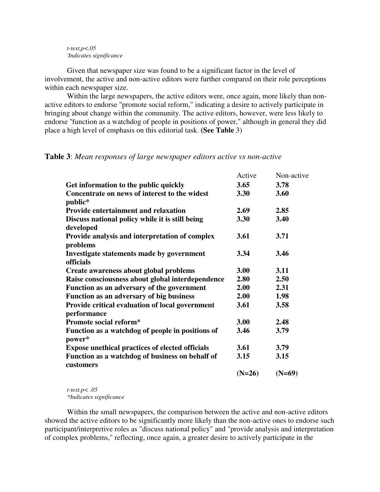#### *t-test,p<.05 'Indicates significance*

Given that newspaper size was found to be a significant factor in the level of involvement, the active and non-active editors were further compared on their role perceptions within each newspaper size.

Within the large newspapers, the active editors were, once again, more likely than nonactive editors to endorse "promote social reform," indicating a desire to actively participate in bringing about change within the community. The active editors, however, were less likely to endorse ''function as a watchdog of people in positions of power," although in general they did place a high level of emphasis on this editorial task. **(See Table** 3)

#### **Table 3**: *Mean responses of large newspaper editors active vs non-active*

|                                                                | Active   | Non-active |
|----------------------------------------------------------------|----------|------------|
| Get information to the public quickly                          | 3.65     | 3.78       |
| Concentrate on news of interest to the widest<br>public*       | 3.30     | 3.60       |
| <b>Provide entertainment and relaxation</b>                    | 2.69     | 2.85       |
| Discuss national policy while it is still being<br>developed   | 3.30     | 3.40       |
| Provide analysis and interpretation of complex<br>problems     | 3.61     | 3.71       |
| Investigate statements made by government<br><b>officials</b>  | 3.34     | 3.46       |
| Create awareness about global problems                         | 3.00     | 3.11       |
| Raise consciousness about global interdependence               | 2.80     | 2.50       |
| Function as an adversary of the government                     | 2.00     | 2.31       |
| Function as an adversary of big business                       | 2.00     | 1.98       |
| Provide critical evaluation of local government<br>performance | 3.61     | 3.58       |
| <b>Promote social reform*</b>                                  | 3.00     | 2.48       |
| Function as a watchdog of people in positions of<br>power*     | 3.46     | 3.79       |
| <b>Expose unethical practices of elected officials</b>         | 3.61     | 3.79       |
| Function as a watchdog of business on behalf of<br>customers   | 3.15     | 3.15       |
|                                                                | $(N=26)$ | $(N=69)$   |

*t-test.p< .05 \*Indicates significance*

Within the small newspapers, the comparison between the active and non-active editors showed the active editors to be significantly more likely than the non-active ones to endorse such participant/interpretive roles as "discuss national policy" and "provide analysis and interpretation of complex problems," reflecting, once again, a greater desire to actively participate in the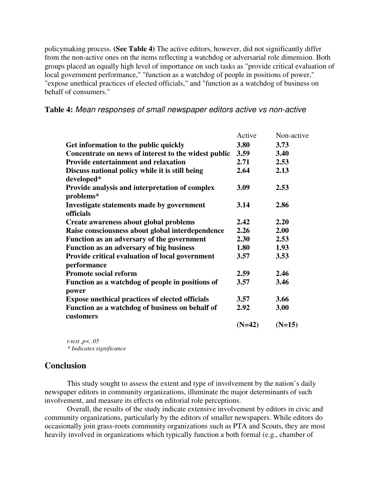policymaking process. **(See Table 4)** The active editors, however, did not significantly differ from the non-active ones on the items reflecting a watchdog or adversarial role dimension. Both groups placed an equally high level of importance on such tasks as "provide critical evaluation of local government performance," "function as a watchdog of people in positions of power," "expose unethical practices of elected officials," and "function as a watchdog of business on behalf of consumers."

| Table 4: Mean responses of small newspaper editors active vs non-active |  |  |  |  |
|-------------------------------------------------------------------------|--|--|--|--|
|                                                                         |  |  |  |  |

|                                                        | Active   | Non-active |
|--------------------------------------------------------|----------|------------|
| Get information to the public quickly                  | 3.80     | 3.73       |
| Concentrate on news of interest to the widest public   | 3.59     | 3.40       |
| <b>Provide entertainment and relaxation</b>            | 2.71     | 2.53       |
| Discuss national policy while it is still being        | 2.64     | 2.13       |
| developed*                                             |          |            |
| Provide analysis and interpretation of complex         | 3.09     | 2.53       |
| problems*                                              |          |            |
| Investigate statements made by government              | 3.14     | 2.86       |
| officials                                              |          |            |
| Create awareness about global problems                 | 2.42     | 2.20       |
| Raise consciousness about global interdependence       | 2.26     | 2.00       |
| Function as an adversary of the government             | 2.30     | 2.53       |
| Function as an adversary of big business               | 1.80     | 1.93       |
| Provide critical evaluation of local government        | 3.57     | 3.53       |
| performance                                            |          |            |
| <b>Promote social reform</b>                           | 2.59     | 2.46       |
| Function as a watchdog of people in positions of       | 3.57     | 3.46       |
| power                                                  |          |            |
| <b>Expose unethical practices of elected officials</b> | 3.57     | 3.66       |
| Function as a watchdog of business on behalf of        | 2.92     | 3.00       |
| customers                                              |          |            |
|                                                        | $(N=42)$ | $(N=15)$   |

*t-test ,p< .05 \* Indicates significance*

#### **Conclusion**

This study sought to assess the extent and type of involvement by the nation's daily newspaper editors in community organizations, illuminate the major determinants of such involvement, and measure its effects on editorial role perceptions.

 Overall, the results of the study indicate extensive involvement by editors in civic and community organizations, particularly by the editors of smaller newspapers. While editors do occasionally join grass-roots community organizations such as PTA and Scouts, they are most heavily involved in organizations which typically function a both formal (e.g., chamber of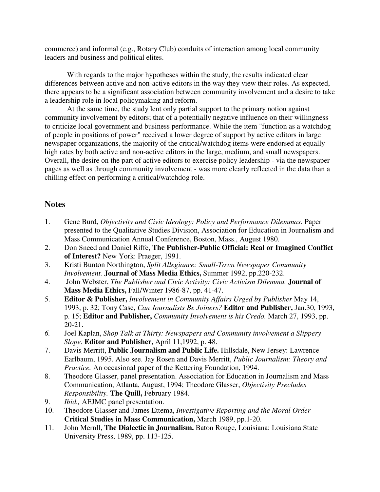commerce) and informal (e.g., Rotary Club) conduits of interaction among local community leaders and business and political elites.

With regards to the major hypotheses within the study, the results indicated clear differences between active and non-active editors in the way they view their roles. As expected, there appears to be a significant association between community involvement and a desire to take a leadership role in local policymaking and reform.

At the same time, the study lent only partial support to the primary notion against community involvement by editors; that of a potentially negative influence on their willingness to criticize local government and business performance. While the item "function as a watchdog of people in positions of power" received a lower degree of support by active editors in large newspaper organizations, the majority of the critical/watchdog items were endorsed at equally high rates by both active and non-active editors in the large, medium, and small newspapers. Overall, the desire on the part of active editors to exercise policy leadership - via the newspaper pages as well as through community involvement - was more clearly reflected in the data than a chilling effect on performing a critical/watchdog role.

## **Notes**

- 1. Gene Burd, *Objectivity and Civic Ideology: Policy and Performance Dilemmas.* Paper presented to the Qualitative Studies Division, Association for Education in Journalism and Mass Communication Annual Conference, Boston, Mass., August 1980.
- 2. Don Sneed and Daniel Riffe, **The Publisher-Public Official: Real or Imagined Conflict of Interest?** New York: Praeger, 1991.
- 3. Kristi Bunton Northington, *Split Allegiance: Small-Town Newspaper Community Involvement.* **Journal of Mass Media Ethics,** Summer 1992, pp.220-232.
- 4. John Webster, *The Publisher and Civic Activity: Civic Activism Dilemma.* **Journal of Mass Media Ethics,** Fall/Winter 1986-87, pp. 41-47.
- 5. **Editor & Publisher,** *Involvement in Community Affairs Urged by Publisher* May 14, 1993, p. 32; Tony Case, *Can Journalists Be Joiners?* **Editor and Publisher,** Jan.30, 1993, p. 15; **Editor and Publisher,** *Community Involvement is his Credo.* March 27, 1993, pp. 20-21.
- *6.* Joel Kaplan, *Shop Talk at Thirty: Newspapers and Community involvement a Slippery Slope.* **Editor and Publisher,** April 11,1992, p. 48.
- 7. Davis Merritt, **Public Journalism and Public Life.** Hillsdale, New Jersey: Lawrence Earlbaum, 1995. Also see. Jay Rosen and Davis Merritt, *Public Journalism: Theory and Practice.* An occasional paper of the Kettering Foundation, 1994.
- 8. Theodore Glasser, panel presentation. Association for Education in Journalism and Mass Communication, Atlanta, August, 1994; Theodore Glasser, *Objectivity Precludes Responsibility.* **The Quill,** February 1984.
- 9. *Ibid.,* AEJMC panel presentation.
- 10. Theodore Glasser and James Ettema, *Investigative Reporting and the Moral Order*  **Critical Studies in Mass Communication,** March 1989, pp.1-20.
- 11. John Mernll, **The Dialectic in Journalism.** Baton Rouge, Louisiana: Louisiana State University Press, 1989, pp. 113-125.